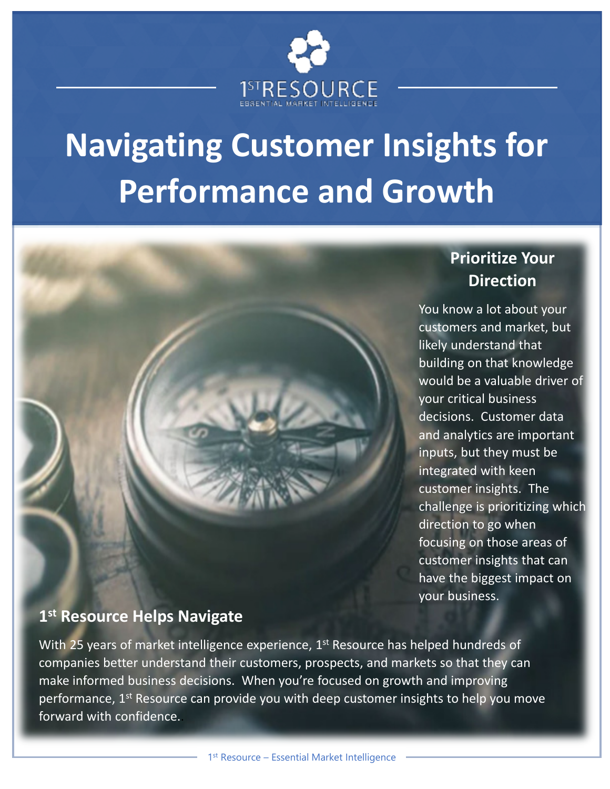

# **Navigating Customer Insights for Performance and Growth**



## **Prioritize Your Direction**

You know a lot about your customers and market, but likely understand that building on that knowledge would be a valuable driver of your critical business decisions. Customer data and analytics are important inputs, but they must be integrated with keen customer insights. The challenge is prioritizing which direction to go when focusing on those areas of customer insights that can have the biggest impact on your business.

### **1 st Resource Helps Navigate**

With 25 years of market intelligence experience, 1<sup>st</sup> Resource has helped hundreds of companies better understand their customers, prospects, and markets so that they can make informed business decisions. When you're focused on growth and improving performance, 1<sup>st</sup> Resource can provide you with deep customer insights to help you move forward with confidence..